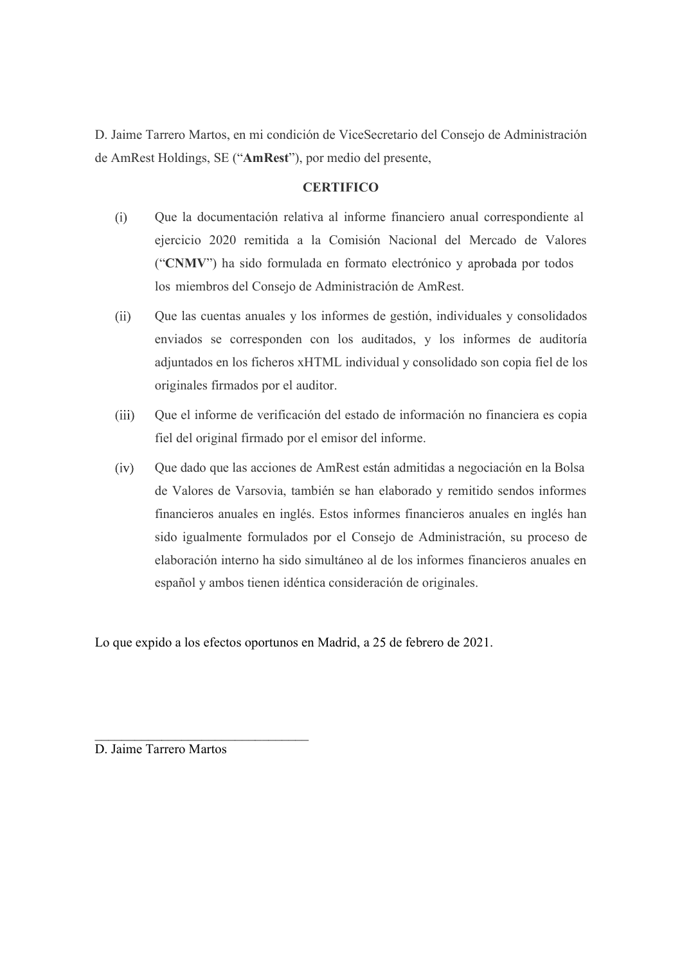D. Jaime Tarrero Martos, en mi condición de ViceSecretario del Consejo de Administración de AmRest Holdings, SE ("AmRest"), por medio del presente,

## **CERTIFICO**

- Que la documentación relativa al informe financiero anual correspondiente al ejercicio 2020 remitida a la Comisión Nacional del Mercado de Valores ("CNMV") ha sido formulada en formato electrónico y aprobada por todos arrero Martos, en mi condición de ViceSecretario del Consejo de Administ<br>Holdings, SE ("AmRest"), por medio del presente,<br>CERTIFICO<br>Que la documentación relativa al informe financiero anual correspondie<br>ejercicio 2020 remi
- Que las cuentas anuales y los informes de gestión, individuales y consolidados  $(ii)$ enviados se corresponden con los auditados, y los informes de auditoría adjuntados en los ficheros xHTML individual y consolidado son copia fiel de los originales firmados por el auditor.
- $(iii)$ Que el informe de verificación del estado de información no financiera es copia fiel del original firmado por el emisor del informe.
- Que dado que las acciones de AmRest están admitidas a negociación en la Bolsa de Valores de Varsovia, también se han elaborado y remitido sendos informes financieros anuales en inglés. Estos informes financieros anuales en inglés han sido igualmente formulados por el Consejo de Administración, su proceso de elaboración interno ha sido simultáneo al de los informes financieros anuales en español y ambos tienen idéntica consideración de originales. (iv) Que dado que las acciones de AmRest están admitidas a negocide Valores de Varsovia, también se han elaborado y remitido financieros anuales en inglés. Estos informes financieros anuales ido igualmente formulados por e